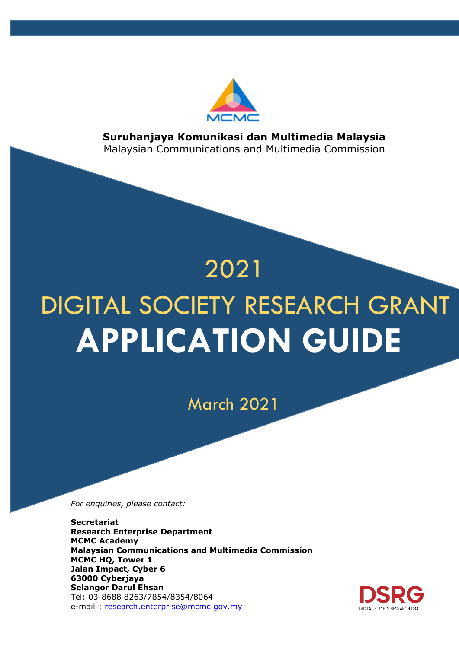

**Suruhanjaya Komunikasi dan Multimedia Malaysia** Malaysian Communications and Multimedia Commission

# **APPLICATION GUIDE** DIGITAL SOCIETY RESEARCH GRANT 2021

March 2021

*For enquiries, please contact:*

**Secretariat Research Enterprise Department MCMC Academy Malaysian Communications and Multimedia Commission MCMC HQ, Tower 1 Jalan Impact, Cyber 6 63000 Cyberjaya Selangor Darul Ehsan** Tel: 03-8688 8263/7854/8354/8064 e-mail : [research.enterprise@mcmc.gov.my](mailto:research.enterprise@mcmc.gov.my)

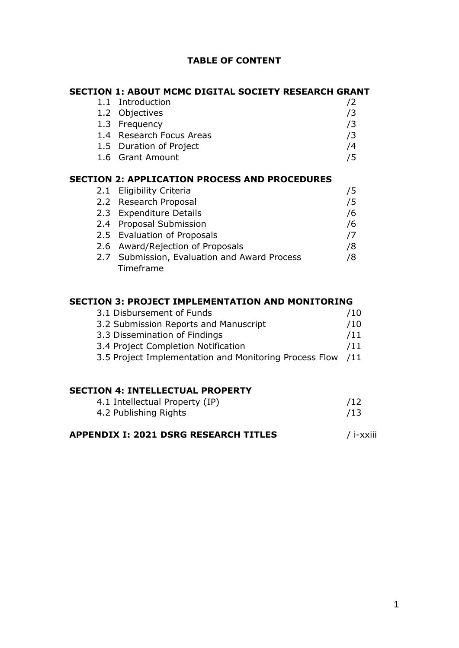## **TABLE OF CONTENT**

|     | <b>SECTION 1: ABOUT MCMC DIGITAL SOCIETY RESEARCH GRANT</b> |    |
|-----|-------------------------------------------------------------|----|
| 1.1 | Introduction                                                | /2 |
|     | 1.2 Objectives                                              | /3 |
|     | 1.3 Frequency                                               | /3 |
|     | 1.4 Research Focus Areas                                    | /3 |
|     | 1.5 Duration of Project                                     | /4 |
|     | 1.6 Grant Amount                                            | /5 |
|     |                                                             |    |
|     | <b>SECTION 2: APPLICATION PROCESS AND PROCEDURES</b>        |    |
| 2.1 | <b>Eligibility Criteria</b>                                 | /5 |
|     | 2.2 Research Proposal                                       | /5 |
|     | 2.3 Expenditure Details                                     | /6 |
| 2.4 | <b>Proposal Submission</b>                                  | /6 |
|     | 2.5 Evaluation of Proposals                                 | 77 |
|     | 2.6 Award/Rejection of Proposals                            | /8 |
|     | 2.7 Submission, Evaluation and Award Process                | /8 |
|     | Timeframe                                                   |    |
|     |                                                             |    |

## **SECTION 3: PROJECT IMPLEMENTATION AND MONITORING**

| 3.1 Disbursement of Funds                              | /10 |
|--------------------------------------------------------|-----|
| 3.2 Submission Reports and Manuscript                  | /10 |
| 3.3 Dissemination of Findings                          | /11 |
| 3.4 Project Completion Notification                    | /11 |
| 3.5 Project Implementation and Monitoring Process Flow | /11 |

#### **SECTION 4: INTELLECTUAL PROPERTY**

| 4.1 Intellectual Property (IP) | /12 |
|--------------------------------|-----|
| 4.2 Publishing Rights          | /13 |
|                                |     |

# **APPENDIX I: 2021 DSRG RESEARCH TITLES** / i-xxiii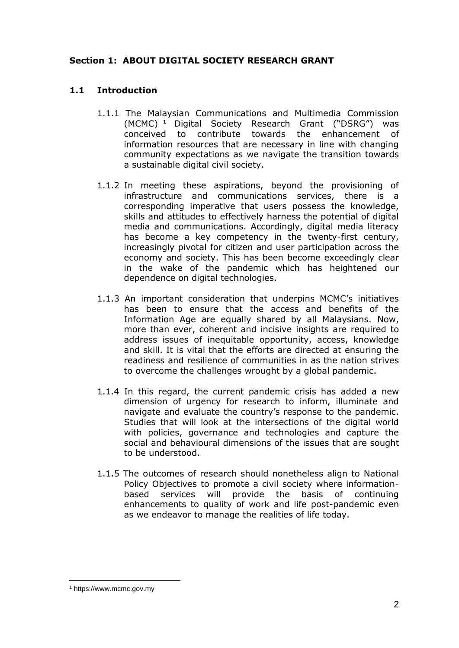## **Section 1: ABOUT DIGITAL SOCIETY RESEARCH GRANT**

## **1.1 Introduction**

- 1.1.1 The Malaysian Communications and Multimedia Commission (MCMC) <sup>1</sup> Digital Society Research Grant ("DSRG") was conceived to contribute towards the enhancement of information resources that are necessary in line with changing community expectations as we navigate the transition towards a sustainable digital civil society.
- 1.1.2 In meeting these aspirations, beyond the provisioning of infrastructure and communications services, there is a corresponding imperative that users possess the knowledge, skills and attitudes to effectively harness the potential of digital media and communications. Accordingly, digital media literacy has become a key competency in the twenty-first century, increasingly pivotal for citizen and user participation across the economy and society. This has been become exceedingly clear in the wake of the pandemic which has heightened our dependence on digital technologies.
- 1.1.3 An important consideration that underpins MCMC's initiatives has been to ensure that the access and benefits of the Information Age are equally shared by all Malaysians. Now, more than ever, coherent and incisive insights are required to address issues of inequitable opportunity, access, knowledge and skill. It is vital that the efforts are directed at ensuring the readiness and resilience of communities in as the nation strives to overcome the challenges wrought by a global pandemic.
- 1.1.4 In this regard, the current pandemic crisis has added a new dimension of urgency for research to inform, illuminate and navigate and evaluate the country's response to the pandemic. Studies that will look at the intersections of the digital world with policies, governance and technologies and capture the social and behavioural dimensions of the issues that are sought to be understood.
- 1.1.5 The outcomes of research should nonetheless align to National Policy Objectives to promote a civil society where informationbased services will provide the basis of continuing enhancements to quality of work and life post-pandemic even as we endeavor to manage the realities of life today.

1

<sup>1</sup> https://www.mcmc.gov.my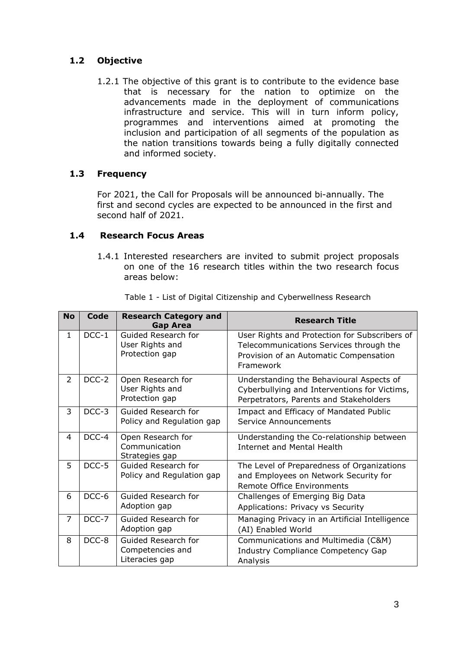# **1.2 Objective**

1.2.1 The objective of this grant is to contribute to the evidence base that is necessary for the nation to optimize on the advancements made in the deployment of communications infrastructure and service. This will in turn inform policy, programmes and interventions aimed at promoting the inclusion and participation of all segments of the population as the nation transitions towards being a fully digitally connected and informed society.

## **1.3 Frequency**

For 2021, the Call for Proposals will be announced bi-annually. The first and second cycles are expected to be announced in the first and second half of 2021.

## **1.4 Research Focus Areas**

1.4.1 Interested researchers are invited to submit project proposals on one of the 16 research titles within the two research focus areas below:

| <b>No</b>      | <b>Code</b> | <b>Research Category and</b><br><b>Gap Area</b>           | <b>Research Title</b>                                                                                                                           |
|----------------|-------------|-----------------------------------------------------------|-------------------------------------------------------------------------------------------------------------------------------------------------|
| $\mathbf{1}$   | $DCC-1$     | Guided Research for<br>User Rights and<br>Protection gap  | User Rights and Protection for Subscribers of<br>Telecommunications Services through the<br>Provision of an Automatic Compensation<br>Framework |
| $\overline{2}$ | DCC-2       | Open Research for<br>User Rights and<br>Protection gap    | Understanding the Behavioural Aspects of<br>Cyberbullying and Interventions for Victims,<br>Perpetrators, Parents and Stakeholders              |
| 3              | DCC-3       | Guided Research for<br>Policy and Regulation gap          | Impact and Efficacy of Mandated Public<br>Service Announcements                                                                                 |
| 4              | DCC-4       | Open Research for<br>Communication<br>Strategies gap      | Understanding the Co-relationship between<br>Internet and Mental Health                                                                         |
| 5              | DCC-5       | Guided Research for<br>Policy and Regulation gap          | The Level of Preparedness of Organizations<br>and Employees on Network Security for<br><b>Remote Office Environments</b>                        |
| 6              | DCC-6       | Guided Research for<br>Adoption gap                       | Challenges of Emerging Big Data<br>Applications: Privacy vs Security                                                                            |
| $\overline{7}$ | DCC-7       | Guided Research for<br>Adoption gap                       | Managing Privacy in an Artificial Intelligence<br>(AI) Enabled World                                                                            |
| 8              | DCC-8       | Guided Research for<br>Competencies and<br>Literacies gap | Communications and Multimedia (C&M)<br>Industry Compliance Competency Gap<br>Analysis                                                           |

Table 1 - List of Digital Citizenship and Cyberwellness Research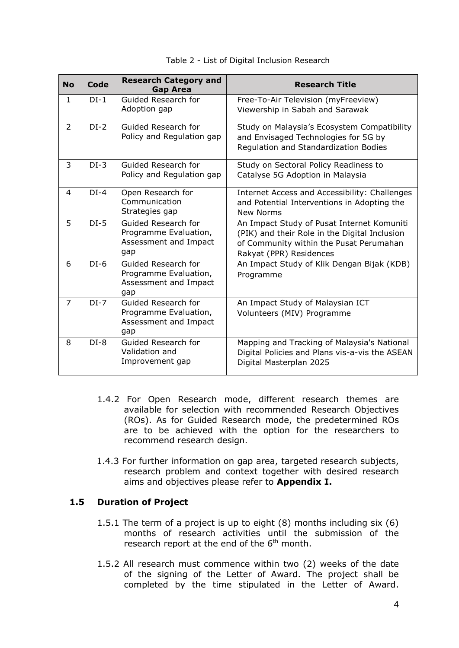| <b>No</b>      | Code   | <b>Research Category and</b><br><b>Gap Area</b>                              | <b>Research Title</b>                                                                                                                                             |
|----------------|--------|------------------------------------------------------------------------------|-------------------------------------------------------------------------------------------------------------------------------------------------------------------|
| $\mathbf{1}$   | $DI-1$ | Guided Research for<br>Adoption gap                                          | Free-To-Air Television (myFreeview)<br>Viewership in Sabah and Sarawak                                                                                            |
| $\overline{2}$ | $DI-2$ | Guided Research for<br>Policy and Regulation gap                             | Study on Malaysia's Ecosystem Compatibility<br>and Envisaged Technologies for 5G by<br>Regulation and Standardization Bodies                                      |
| 3              | $DI-3$ | Guided Research for<br>Policy and Regulation gap                             | Study on Sectoral Policy Readiness to<br>Catalyse 5G Adoption in Malaysia                                                                                         |
| 4              | $DI-4$ | Open Research for<br>Communication<br>Strategies gap                         | Internet Access and Accessibility: Challenges<br>and Potential Interventions in Adopting the<br>New Norms                                                         |
| 5              | $DI-5$ | Guided Research for<br>Programme Evaluation,<br>Assessment and Impact<br>gap | An Impact Study of Pusat Internet Komuniti<br>(PIK) and their Role in the Digital Inclusion<br>of Community within the Pusat Perumahan<br>Rakyat (PPR) Residences |
| 6              | $DI-6$ | Guided Research for<br>Programme Evaluation,<br>Assessment and Impact<br>gap | An Impact Study of Klik Dengan Bijak (KDB)<br>Programme                                                                                                           |
| $\overline{7}$ | $DI-7$ | Guided Research for<br>Programme Evaluation,<br>Assessment and Impact<br>gap | An Impact Study of Malaysian ICT<br>Volunteers (MIV) Programme                                                                                                    |
| 8              | $DI-8$ | Guided Research for<br>Validation and<br>Improvement gap                     | Mapping and Tracking of Malaysia's National<br>Digital Policies and Plans vis-a-vis the ASEAN<br>Digital Masterplan 2025                                          |

#### Table 2 - List of Digital Inclusion Research

- 1.4.2 For Open Research mode, different research themes are available for selection with recommended Research Objectives (ROs). As for Guided Research mode, the predetermined ROs are to be achieved with the option for the researchers to recommend research design.
- 1.4.3 For further information on gap area, targeted research subjects, research problem and context together with desired research aims and objectives please refer to **Appendix I.**

#### **1.5 Duration of Project**

- 1.5.1 The term of a project is up to eight (8) months including six (6) months of research activities until the submission of the research report at the end of the 6<sup>th</sup> month.
- 1.5.2 All research must commence within two (2) weeks of the date of the signing of the Letter of Award. The project shall be completed by the time stipulated in the Letter of Award.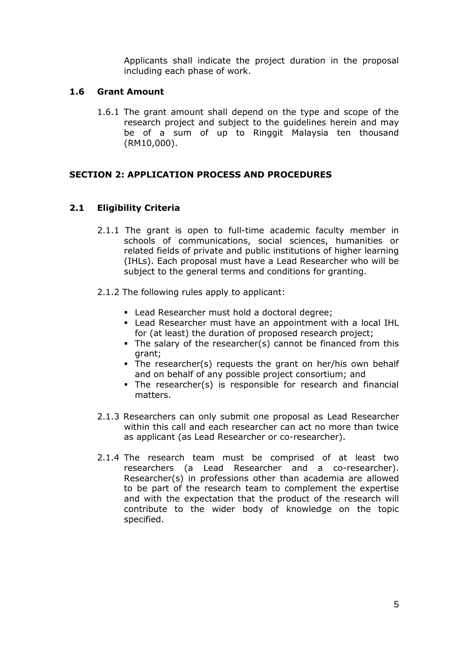Applicants shall indicate the project duration in the proposal including each phase of work.

#### **1.6 Grant Amount**

1.6.1 The grant amount shall depend on the type and scope of the research project and subject to the guidelines herein and may be of a sum of up to Ringgit Malaysia ten thousand (RM10,000).

## **SECTION 2: APPLICATION PROCESS AND PROCEDURES**

## **2.1 Eligibility Criteria**

- 2.1.1 The grant is open to full-time academic faculty member in schools of communications, social sciences, humanities or related fields of private and public institutions of higher learning (IHLs). Each proposal must have a Lead Researcher who will be subject to the general terms and conditions for granting.
- 2.1.2 The following rules apply to applicant:
	- Lead Researcher must hold a doctoral degree;
	- Lead Researcher must have an appointment with a local IHL for (at least) the duration of proposed research project;
	- The salary of the researcher(s) cannot be financed from this grant;
	- The researcher(s) requests the grant on her/his own behalf and on behalf of any possible project consortium; and
	- The researcher(s) is responsible for research and financial matters.
- 2.1.3 Researchers can only submit one proposal as Lead Researcher within this call and each researcher can act no more than twice as applicant (as Lead Researcher or co-researcher).
- 2.1.4 The research team must be comprised of at least two researchers (a Lead Researcher and a co-researcher). Researcher(s) in professions other than academia are allowed to be part of the research team to complement the expertise and with the expectation that the product of the research will contribute to the wider body of knowledge on the topic specified.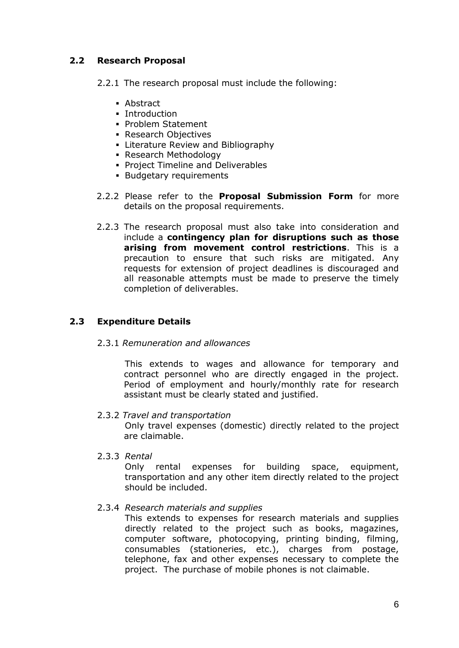## **2.2 Research Proposal**

2.2.1 The research proposal must include the following:

- Abstract
- **Introduction**
- **Problem Statement**
- Research Objectives
- **Exerciture Review and Bibliography**
- Research Methodology
- **Project Timeline and Deliverables**
- **Budgetary requirements**
- 2.2.2 Please refer to the **Proposal Submission Form** for more details on the proposal requirements.
- 2.2.3 The research proposal must also take into consideration and include a **contingency plan for disruptions such as those arising from movement control restrictions**. This is a precaution to ensure that such risks are mitigated. Any requests for extension of project deadlines is discouraged and all reasonable attempts must be made to preserve the timely completion of deliverables.

# **2.3 Expenditure Details**

2.3.1 *Remuneration and allowances*

This extends to wages and allowance for temporary and contract personnel who are directly engaged in the project. Period of employment and hourly/monthly rate for research assistant must be clearly stated and justified.

2.3.2 *Travel and transportation*

Only travel expenses (domestic) directly related to the project are claimable.

2.3.3 *Rental*

Only rental expenses for building space, equipment, transportation and any other item directly related to the project should be included.

#### 2.3.4 *Research materials and supplies*

This extends to expenses for research materials and supplies directly related to the project such as books, magazines, computer software, photocopying, printing binding, filming, consumables (stationeries, etc.), charges from postage, telephone, fax and other expenses necessary to complete the project. The purchase of mobile phones is not claimable.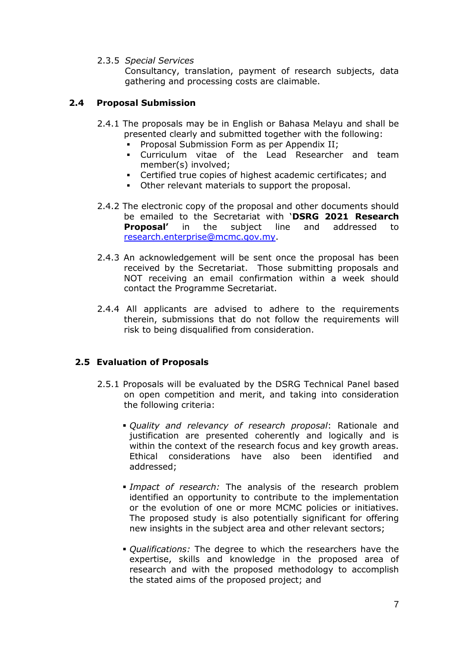2.3.5 *Special Services*

Consultancy, translation, payment of research subjects, data gathering and processing costs are claimable.

#### **2.4 Proposal Submission**

- 2.4.1 The proposals may be in English or Bahasa Melayu and shall be presented clearly and submitted together with the following:
	- Proposal Submission Form as per Appendix II;
	- Curriculum vitae of the Lead Researcher and team member(s) involved;
	- Certified true copies of highest academic certificates; and
	- Other relevant materials to support the proposal.
- 2.4.2 The electronic copy of the proposal and other documents should be emailed to the Secretariat with '**DSRG 2021 Research Proposal'** in the subject line and addressed to [research.enterprise@mcmc.gov.my.](mailto:research.enterprise@mcmc.gov.my)
- 2.4.3 An acknowledgement will be sent once the proposal has been received by the Secretariat. Those submitting proposals and NOT receiving an email confirmation within a week should contact the Programme Secretariat.
- 2.4.4 All applicants are advised to adhere to the requirements therein, submissions that do not follow the requirements will risk to being disqualified from consideration.

#### **2.5 Evaluation of Proposals**

- 2.5.1 Proposals will be evaluated by the DSRG Technical Panel based on open competition and merit, and taking into consideration the following criteria:
	- *Quality and relevancy of research proposal*: Rationale and justification are presented coherently and logically and is within the context of the research focus and key growth areas. Ethical considerations have also been identified and addressed;
	- *Impact of research:* The analysis of the research problem identified an opportunity to contribute to the implementation or the evolution of one or more MCMC policies or initiatives. The proposed study is also potentially significant for offering new insights in the subject area and other relevant sectors;
	- *Qualifications:* The degree to which the researchers have the expertise, skills and knowledge in the proposed area of research and with the proposed methodology to accomplish the stated aims of the proposed project; and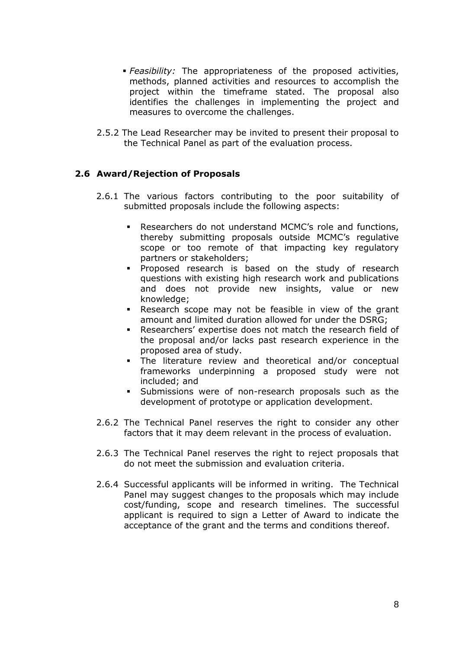- *Feasibility:* The appropriateness of the proposed activities, methods, planned activities and resources to accomplish the project within the timeframe stated. The proposal also identifies the challenges in implementing the project and measures to overcome the challenges.
- 2.5.2 The Lead Researcher may be invited to present their proposal to the Technical Panel as part of the evaluation process.

## **2.6 Award/Rejection of Proposals**

- 2.6.1 The various factors contributing to the poor suitability of submitted proposals include the following aspects:
	- Researchers do not understand MCMC's role and functions, thereby submitting proposals outside MCMC's regulative scope or too remote of that impacting key regulatory partners or stakeholders;
	- **Proposed research is based on the study of research** questions with existing high research work and publications and does not provide new insights, value or new knowledge;
	- Research scope may not be feasible in view of the grant amount and limited duration allowed for under the DSRG;
	- Researchers' expertise does not match the research field of the proposal and/or lacks past research experience in the proposed area of study.
	- The literature review and theoretical and/or conceptual frameworks underpinning a proposed study were not included; and
	- Submissions were of non-research proposals such as the development of prototype or application development.
- 2.6.2 The Technical Panel reserves the right to consider any other factors that it may deem relevant in the process of evaluation.
- 2.6.3 The Technical Panel reserves the right to reject proposals that do not meet the submission and evaluation criteria.
- 2.6.4 Successful applicants will be informed in writing. The Technical Panel may suggest changes to the proposals which may include cost/funding, scope and research timelines. The successful applicant is required to sign a Letter of Award to indicate the acceptance of the grant and the terms and conditions thereof.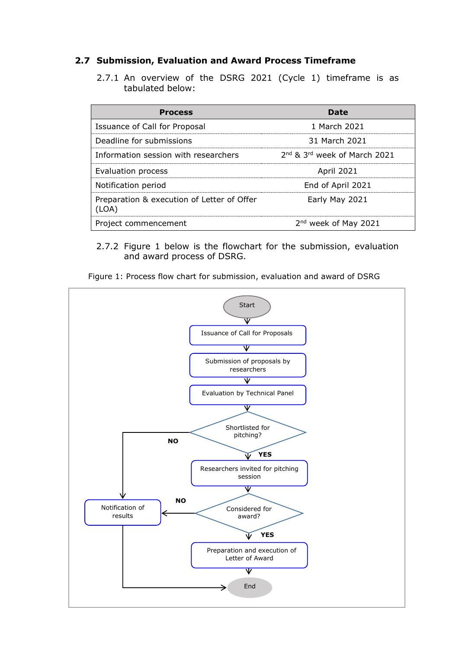#### **2.7 Submission, Evaluation and Award Process Timeframe**

2.7.1 An overview of the DSRG 2021 (Cycle 1) timeframe is as tabulated below:

| <b>Process</b>                                     | Date                             |
|----------------------------------------------------|----------------------------------|
| Issuance of Call for Proposal                      | 1 March 2021                     |
| Deadline for submissions                           | 31 March 2021                    |
| Information session with researchers               | 2nd & 3rd week of March 2021     |
| Evaluation process                                 | <b>April 2021</b>                |
| Notification period                                | End of April 2021                |
| Preparation & execution of Letter of Offer<br>OA). | Early May 2021                   |
| Project commencement                               | 2 <sup>nd</sup> week of May 2021 |

2.7.2 Figure 1 below is the flowchart for the submission, evaluation and award process of DSRG.

Figure 1: Process flow chart for submission, evaluation and award of DSRG

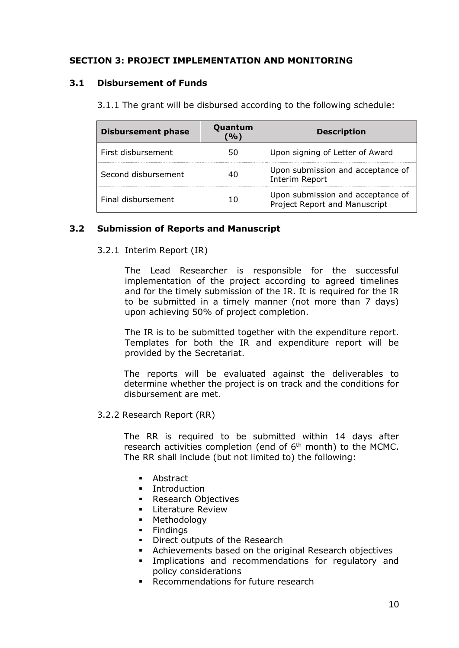## **SECTION 3: PROJECT IMPLEMENTATION AND MONITORING**

#### **3.1 Disbursement of Funds**

| <b>Disbursement phase</b> | Quantum<br>'%) | <b>Description</b>                                                 |
|---------------------------|----------------|--------------------------------------------------------------------|
| First disbursement        | 50             | Upon signing of Letter of Award                                    |
| Second disbursement       |                | Upon submission and acceptance of<br>Interim Report                |
| Final disbursement        |                | Upon submission and acceptance of<br>Project Report and Manuscript |

3.1.1 The grant will be disbursed according to the following schedule:

#### **3.2 Submission of Reports and Manuscript**

#### 3.2.1 Interim Report (IR)

The Lead Researcher is responsible for the successful implementation of the project according to agreed timelines and for the timely submission of the IR. It is required for the IR to be submitted in a timely manner (not more than 7 days) upon achieving 50% of project completion.

The IR is to be submitted together with the expenditure report. Templates for both the IR and expenditure report will be provided by the Secretariat.

The reports will be evaluated against the deliverables to determine whether the project is on track and the conditions for disbursement are met.

3.2.2 Research Report (RR)

The RR is required to be submitted within 14 days after research activities completion (end of  $6<sup>th</sup>$  month) to the MCMC. The RR shall include (but not limited to) the following:

- **Abstract**
- **•** Introduction
- **Research Objectives**
- **Literature Review**
- **Methodology**
- **Findings**
- **Direct outputs of the Research**
- Achievements based on the original Research objectives
- Implications and recommendations for regulatory and policy considerations
- **Recommendations for future research**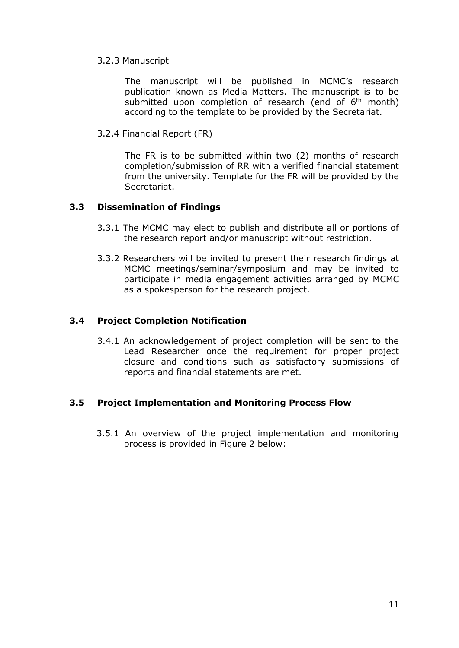#### 3.2.3 Manuscript

The manuscript will be published in MCMC's research publication known as Media Matters. The manuscript is to be submitted upon completion of research (end of  $6<sup>th</sup>$  month) according to the template to be provided by the Secretariat.

3.2.4 Financial Report (FR)

The FR is to be submitted within two (2) months of research completion/submission of RR with a verified financial statement from the university. Template for the FR will be provided by the Secretariat.

#### **3.3 Dissemination of Findings**

- 3.3.1 The MCMC may elect to publish and distribute all or portions of the research report and/or manuscript without restriction.
- 3.3.2 Researchers will be invited to present their research findings at MCMC meetings/seminar/symposium and may be invited to participate in media engagement activities arranged by MCMC as a spokesperson for the research project.

## **3.4 Project Completion Notification**

3.4.1 An acknowledgement of project completion will be sent to the Lead Researcher once the requirement for proper project closure and conditions such as satisfactory submissions of reports and financial statements are met.

#### **3.5 Project Implementation and Monitoring Process Flow**

3.5.1 An overview of the project implementation and monitoring process is provided in Figure 2 below: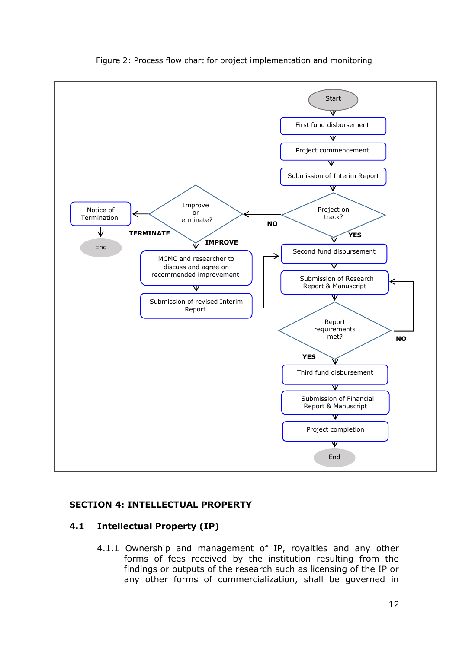

#### Figure 2: Process flow chart for project implementation and monitoring

#### **SECTION 4: INTELLECTUAL PROPERTY**

#### **4.1 Intellectual Property (IP)**

4.1.1 Ownership and management of IP, royalties and any other forms of fees received by the institution resulting from the findings or outputs of the research such as licensing of the IP or any other forms of commercialization, shall be governed in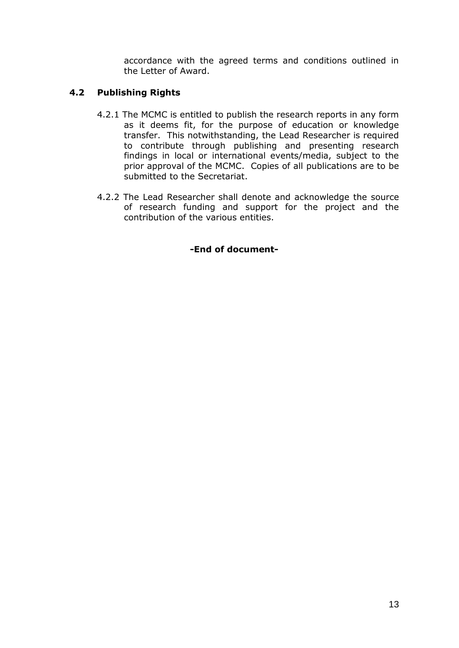accordance with the agreed terms and conditions outlined in the Letter of Award.

# **4.2 Publishing Rights**

- 4.2.1 The MCMC is entitled to publish the research reports in any form as it deems fit, for the purpose of education or knowledge transfer. This notwithstanding, the Lead Researcher is required to contribute through publishing and presenting research findings in local or international events/media, subject to the prior approval of the MCMC. Copies of all publications are to be submitted to the Secretariat.
- 4.2.2 The Lead Researcher shall denote and acknowledge the source of research funding and support for the project and the contribution of the various entities.

## **-End of document-**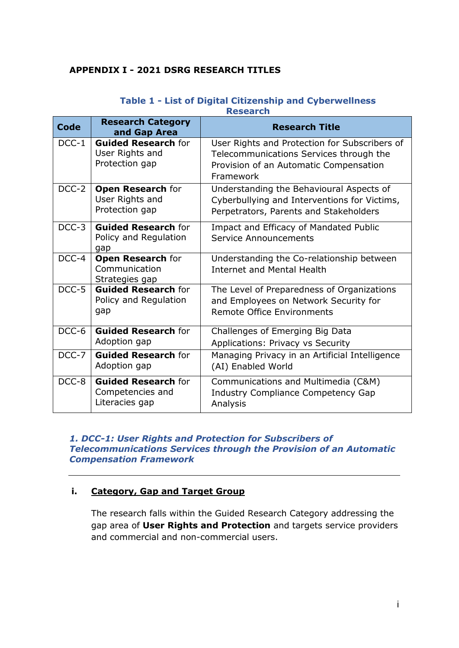## **APPENDIX I - 2021 DSRG RESEARCH TITLES**

| <b>Code</b>        | <b>Research Category</b><br>and Gap Area                         | <b>Research Title</b>                                                                                                                           |
|--------------------|------------------------------------------------------------------|-------------------------------------------------------------------------------------------------------------------------------------------------|
| $DCC-1$            | <b>Guided Research for</b><br>User Rights and<br>Protection gap  | User Rights and Protection for Subscribers of<br>Telecommunications Services through the<br>Provision of an Automatic Compensation<br>Framework |
| DCC-2              | <b>Open Research for</b><br>User Rights and<br>Protection gap    | Understanding the Behavioural Aspects of<br>Cyberbullying and Interventions for Victims,<br>Perpetrators, Parents and Stakeholders              |
| DCC-3              | <b>Guided Research for</b><br>Policy and Regulation<br>gap       | Impact and Efficacy of Mandated Public<br>Service Announcements                                                                                 |
| $\overline{DCC-4}$ | <b>Open Research for</b><br>Communication<br>Strategies gap      | Understanding the Co-relationship between<br>Internet and Mental Health                                                                         |
| DCC-5              | <b>Guided Research for</b><br>Policy and Regulation<br>gap       | The Level of Preparedness of Organizations<br>and Employees on Network Security for<br>Remote Office Environments                               |
| DCC-6              | <b>Guided Research for</b><br>Adoption gap                       | Challenges of Emerging Big Data<br>Applications: Privacy vs Security                                                                            |
| DCC-7              | <b>Guided Research for</b><br>Adoption gap                       | Managing Privacy in an Artificial Intelligence<br>(AI) Enabled World                                                                            |
| DCC-8              | <b>Guided Research for</b><br>Competencies and<br>Literacies gap | Communications and Multimedia (C&M)<br><b>Industry Compliance Competency Gap</b><br>Analysis                                                    |

#### **Table 1 - List of Digital Citizenship and Cyberwellness Research**

#### *1. DCC-1: User Rights and Protection for Subscribers of Telecommunications Services through the Provision of an Automatic Compensation Framework*

## **i. Category, Gap and Target Group**

The research falls within the Guided Research Category addressing the gap area of **User Rights and Protection** and targets service providers and commercial and non-commercial users.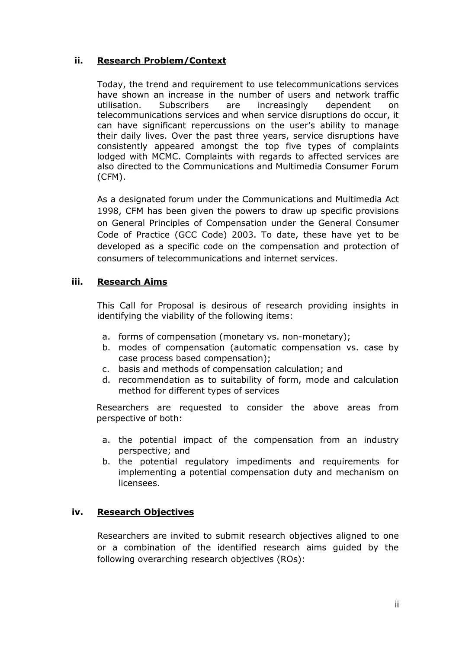## **ii. Research Problem/Context**

Today, the trend and requirement to use telecommunications services have shown an increase in the number of users and network traffic utilisation. Subscribers are increasingly dependent on telecommunications services and when service disruptions do occur, it can have significant repercussions on the user's ability to manage their daily lives. Over the past three years, service disruptions have consistently appeared amongst the top five types of complaints lodged with MCMC. Complaints with regards to affected services are also directed to the Communications and Multimedia Consumer Forum (CFM).

As a designated forum under the Communications and Multimedia Act 1998, CFM has been given the powers to draw up specific provisions on General Principles of Compensation under the General Consumer Code of Practice (GCC Code) 2003. To date, these have yet to be developed as a specific code on the compensation and protection of consumers of telecommunications and internet services.

## **iii. Research Aims**

This Call for Proposal is desirous of research providing insights in identifying the viability of the following items:

- a. forms of compensation (monetary vs. non-monetary);
- b. modes of compensation (automatic compensation vs. case by case process based compensation);
- c. basis and methods of compensation calculation; and
- d. recommendation as to suitability of form, mode and calculation method for different types of services

Researchers are requested to consider the above areas from perspective of both:

- a. the potential impact of the compensation from an industry perspective; and
- b. the potential regulatory impediments and requirements for implementing a potential compensation duty and mechanism on licensees.

## **iv. Research Objectives**

Researchers are invited to submit research objectives aligned to one or a combination of the identified research aims guided by the following overarching research objectives (ROs):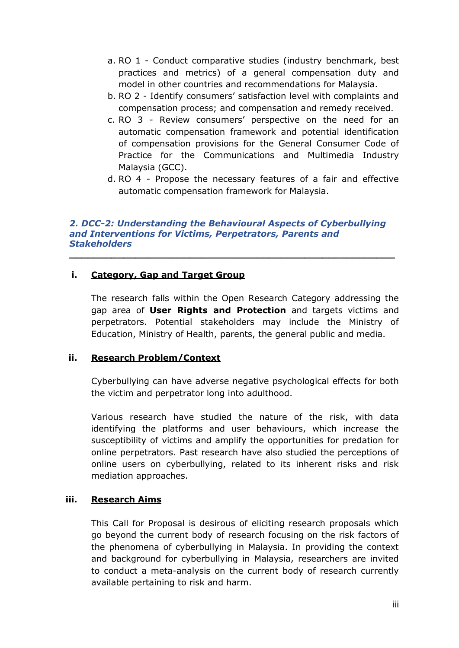- a. RO 1 Conduct comparative studies (industry benchmark, best practices and metrics) of a general compensation duty and model in other countries and recommendations for Malaysia.
- b. RO 2 Identify consumers' satisfaction level with complaints and compensation process; and compensation and remedy received.
- c. RO 3 Review consumers' perspective on the need for an automatic compensation framework and potential identification of compensation provisions for the General Consumer Code of Practice for the Communications and Multimedia Industry Malaysia (GCC).
- d. RO 4 Propose the necessary features of a fair and effective automatic compensation framework for Malaysia.

#### *2. DCC-2: Understanding the Behavioural Aspects of Cyberbullying and Interventions for Victims, Perpetrators, Parents and Stakeholders*

**\_\_\_\_\_\_\_\_\_\_\_\_\_\_\_\_\_\_\_\_\_\_\_\_\_\_\_\_\_\_\_\_\_\_\_\_\_\_\_\_\_\_\_\_\_\_\_\_\_\_\_\_\_\_**

## **i. Category, Gap and Target Group**

The research falls within the Open Research Category addressing the gap area of **User Rights and Protection** and targets victims and perpetrators. Potential stakeholders may include the Ministry of Education, Ministry of Health, parents, the general public and media.

#### **ii. Research Problem/Context**

Cyberbullying can have adverse negative psychological effects for both the victim and perpetrator long into adulthood.

Various research have studied the nature of the risk, with data identifying the platforms and user behaviours, which increase the susceptibility of victims and amplify the opportunities for predation for online perpetrators. Past research have also studied the perceptions of online users on cyberbullying, related to its inherent risks and risk mediation approaches.

#### **iii. Research Aims**

This Call for Proposal is desirous of eliciting research proposals which go beyond the current body of research focusing on the risk factors of the phenomena of cyberbullying in Malaysia. In providing the context and background for cyberbullying in Malaysia, researchers are invited to conduct a meta-analysis on the current body of research currently available pertaining to risk and harm.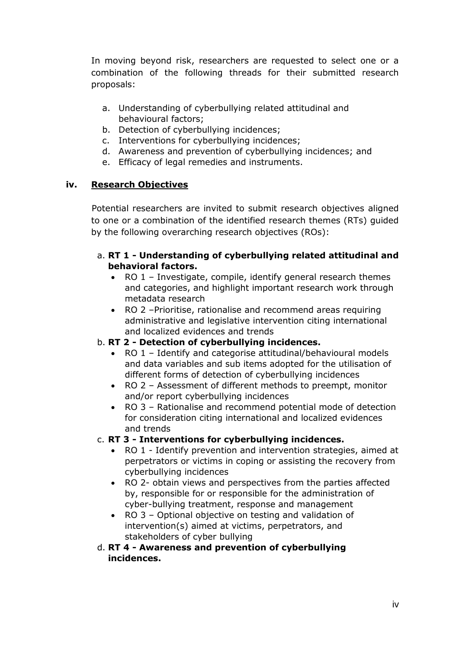In moving beyond risk, researchers are requested to select one or a combination of the following threads for their submitted research proposals:

- a. Understanding of cyberbullying related attitudinal and behavioural factors;
- b. Detection of cyberbullying incidences;
- c. Interventions for cyberbullying incidences;
- d. Awareness and prevention of cyberbullying incidences; and
- e. Efficacy of legal remedies and instruments.

## **iv. Research Objectives**

Potential researchers are invited to submit research objectives aligned to one or a combination of the identified research themes (RTs) guided by the following overarching research objectives (ROs):

## a. **RT 1 - Understanding of cyberbullying related attitudinal and behavioral factors.**

- RO 1 Investigate, compile, identify general research themes and categories, and highlight important research work through metadata research
- RO 2 –Prioritise, rationalise and recommend areas requiring administrative and legislative intervention citing international and localized evidences and trends

## b. **RT 2 - Detection of cyberbullying incidences.**

- RO 1 Identify and categorise attitudinal/behavioural models and data variables and sub items adopted for the utilisation of different forms of detection of cyberbullying incidences
- RO 2 Assessment of different methods to preempt, monitor and/or report cyberbullying incidences
- RO 3 Rationalise and recommend potential mode of detection for consideration citing international and localized evidences and trends

## c. **RT 3 - Interventions for cyberbullying incidences.**

- RO 1 Identify prevention and intervention strategies, aimed at perpetrators or victims in coping or assisting the recovery from cyberbullying incidences
- RO 2- obtain views and perspectives from the parties affected by, responsible for or responsible for the administration of cyber-bullying treatment, response and management
- RO 3 Optional objective on testing and validation of intervention(s) aimed at victims, perpetrators, and stakeholders of cyber bullying

## d. **RT 4 - Awareness and prevention of cyberbullying incidences.**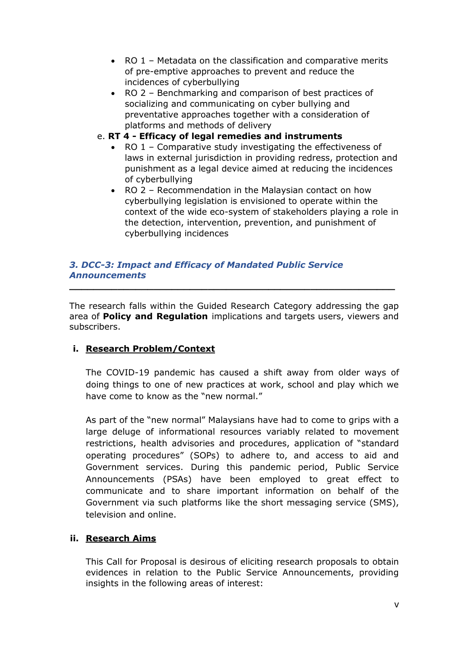- RO 1 Metadata on the classification and comparative merits of pre-emptive approaches to prevent and reduce the incidences of cyberbullying
- RO 2 Benchmarking and comparison of best practices of socializing and communicating on cyber bullying and preventative approaches together with a consideration of platforms and methods of delivery
- e. **RT 4 - Efficacy of legal remedies and instruments** 
	- RO 1 Comparative study investigating the effectiveness of laws in external jurisdiction in providing redress, protection and punishment as a legal device aimed at reducing the incidences of cyberbullying
	- RO 2 Recommendation in the Malaysian contact on how cyberbullying legislation is envisioned to operate within the context of the wide eco-system of stakeholders playing a role in the detection, intervention, prevention, and punishment of cyberbullying incidences

## *3. DCC-3: Impact and Efficacy of Mandated Public Service Announcements*

The research falls within the Guided Research Category addressing the gap area of **Policy and Regulation** implications and targets users, viewers and subscribers.

**\_\_\_\_\_\_\_\_\_\_\_\_\_\_\_\_\_\_\_\_\_\_\_\_\_\_\_\_\_\_\_\_\_\_\_\_\_\_\_\_\_\_\_\_\_\_\_\_\_\_\_\_\_\_**

## **i. Research Problem/Context**

The COVID-19 pandemic has caused a shift away from older ways of doing things to one of new practices at work, school and play which we have come to know as the "new normal."

As part of the "new normal" Malaysians have had to come to grips with a large deluge of informational resources variably related to movement restrictions, health advisories and procedures, application of "standard operating procedures" (SOPs) to adhere to, and access to aid and Government services. During this pandemic period, Public Service Announcements (PSAs) have been employed to great effect to communicate and to share important information on behalf of the Government via such platforms like the short messaging service (SMS), television and online.

## **ii. Research Aims**

This Call for Proposal is desirous of eliciting research proposals to obtain evidences in relation to the Public Service Announcements, providing insights in the following areas of interest: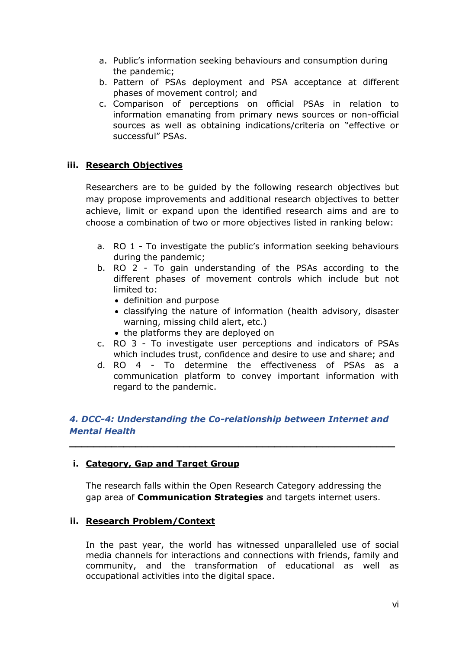- a. Public's information seeking behaviours and consumption during the pandemic;
- b. Pattern of PSAs deployment and PSA acceptance at different phases of movement control; and
- c. Comparison of perceptions on official PSAs in relation to information emanating from primary news sources or non-official sources as well as obtaining indications/criteria on "effective or successful" PSAs.

## **iii. Research Objectives**

Researchers are to be guided by the following research objectives but may propose improvements and additional research objectives to better achieve, limit or expand upon the identified research aims and are to choose a combination of two or more objectives listed in ranking below:

- a. RO 1 To investigate the public's information seeking behaviours during the pandemic;
- b. RO 2 To gain understanding of the PSAs according to the different phases of movement controls which include but not limited to:
	- definition and purpose
	- classifying the nature of information (health advisory, disaster warning, missing child alert, etc.)
	- the platforms they are deployed on
- c. RO 3 To investigate user perceptions and indicators of PSAs which includes trust, confidence and desire to use and share; and
- d. RO 4 To determine the effectiveness of PSAs as a communication platform to convey important information with regard to the pandemic.

## *4. DCC-4: Understanding the Co-relationship between Internet and Mental Health*

**\_\_\_\_\_\_\_\_\_\_\_\_\_\_\_\_\_\_\_\_\_\_\_\_\_\_\_\_\_\_\_\_\_\_\_\_\_\_\_\_\_\_\_\_\_\_\_\_\_\_\_\_\_\_**

#### **i. Category, Gap and Target Group**

The research falls within the Open Research Category addressing the gap area of **Communication Strategies** and targets internet users.

#### **ii. Research Problem/Context**

In the past year, the world has witnessed unparalleled use of social media channels for interactions and connections with friends, family and community, and the transformation of educational as well as occupational activities into the digital space.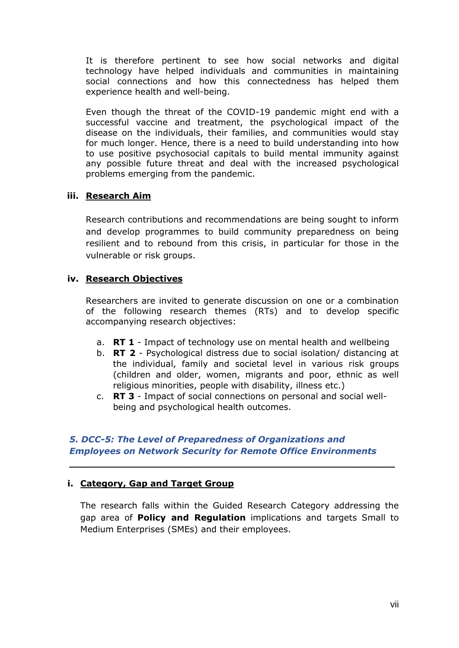It is therefore pertinent to see how social networks and digital technology have helped individuals and communities in maintaining social connections and how this connectedness has helped them experience health and well-being.

Even though the threat of the COVID-19 pandemic might end with a successful vaccine and treatment, the psychological impact of the disease on the individuals, their families, and communities would stay for much longer. Hence, there is a need to build understanding into how to use positive psychosocial capitals to build mental immunity against any possible future threat and deal with the increased psychological problems emerging from the pandemic.

## **iii. Research Aim**

Research contributions and recommendations are being sought to inform and develop programmes to build community preparedness on being resilient and to rebound from this crisis, in particular for those in the vulnerable or risk groups.

## **iv. Research Objectives**

Researchers are invited to generate discussion on one or a combination of the following research themes (RTs) and to develop specific accompanying research objectives:

- a. **RT 1** Impact of technology use on mental health and wellbeing
- b. **RT 2** Psychological distress due to social isolation/ distancing at the individual, family and societal level in various risk groups (children and older, women, migrants and poor, ethnic as well religious minorities, people with disability, illness etc.)
- c. **RT 3** Impact of social connections on personal and social wellbeing and psychological health outcomes.

## *5. DCC-5: The Level of Preparedness of Organizations and Employees on Network Security for Remote Office Environments*

**\_\_\_\_\_\_\_\_\_\_\_\_\_\_\_\_\_\_\_\_\_\_\_\_\_\_\_\_\_\_\_\_\_\_\_\_\_\_\_\_\_\_\_\_\_\_\_\_\_\_\_\_\_\_**

#### **i. Category, Gap and Target Group**

The research falls within the Guided Research Category addressing the gap area of **Policy and Regulation** implications and targets Small to Medium Enterprises (SMEs) and their employees.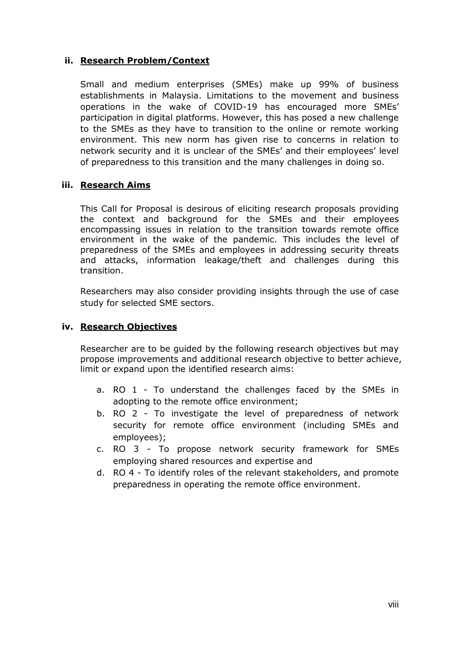#### **ii. Research Problem/Context**

Small and medium enterprises (SMEs) make up 99% of business establishments in Malaysia. Limitations to the movement and business operations in the wake of COVID-19 has encouraged more SMEs' participation in digital platforms. However, this has posed a new challenge to the SMEs as they have to transition to the online or remote working environment. This new norm has given rise to concerns in relation to network security and it is unclear of the SMEs' and their employees' level of preparedness to this transition and the many challenges in doing so.

## **iii. Research Aims**

This Call for Proposal is desirous of eliciting research proposals providing the context and background for the SMEs and their employees encompassing issues in relation to the transition towards remote office environment in the wake of the pandemic. This includes the level of preparedness of the SMEs and employees in addressing security threats and attacks, information leakage/theft and challenges during this transition.

Researchers may also consider providing insights through the use of case study for selected SME sectors.

#### **iv. Research Objectives**

Researcher are to be guided by the following research objectives but may propose improvements and additional research objective to better achieve, limit or expand upon the identified research aims:

- a. RO 1 To understand the challenges faced by the SMEs in adopting to the remote office environment;
- b. RO 2 To investigate the level of preparedness of network security for remote office environment (including SMEs and employees);
- c. RO 3 To propose network security framework for SMEs employing shared resources and expertise and
- d. RO 4 To identify roles of the relevant stakeholders, and promote preparedness in operating the remote office environment.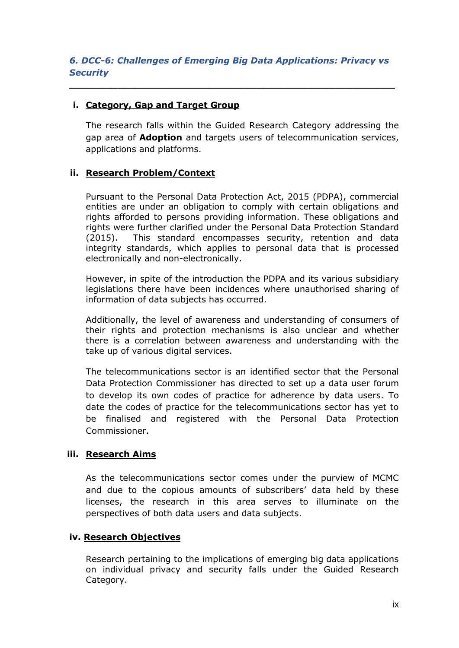**\_\_\_\_\_\_\_\_\_\_\_\_\_\_\_\_\_\_\_\_\_\_\_\_\_\_\_\_\_\_\_\_\_\_\_\_\_\_\_\_\_\_\_\_\_\_\_\_\_\_\_\_\_\_**

# **i. Category, Gap and Target Group**

The research falls within the Guided Research Category addressing the gap area of **Adoption** and targets users of telecommunication services, applications and platforms.

## **ii. Research Problem/Context**

Pursuant to the Personal Data Protection Act, 2015 (PDPA), commercial entities are under an obligation to comply with certain obligations and rights afforded to persons providing information. These obligations and rights were further clarified under the Personal Data Protection Standard (2015). This standard encompasses security, retention and data integrity standards, which applies to personal data that is processed electronically and non-electronically.

However, in spite of the introduction the PDPA and its various subsidiary legislations there have been incidences where unauthorised sharing of information of data subjects has occurred.

Additionally, the level of awareness and understanding of consumers of their rights and protection mechanisms is also unclear and whether there is a correlation between awareness and understanding with the take up of various digital services.

The telecommunications sector is an identified sector that the Personal Data Protection Commissioner has directed to set up a data user forum to develop its own codes of practice for adherence by data users. To date the codes of practice for the telecommunications sector has yet to be finalised and registered with the Personal Data Protection Commissioner.

## **iii. Research Aims**

As the telecommunications sector comes under the purview of MCMC and due to the copious amounts of subscribers' data held by these licenses, the research in this area serves to illuminate on the perspectives of both data users and data subjects.

## **iv. Research Objectives**

Research pertaining to the implications of emerging big data applications on individual privacy and security falls under the Guided Research Category.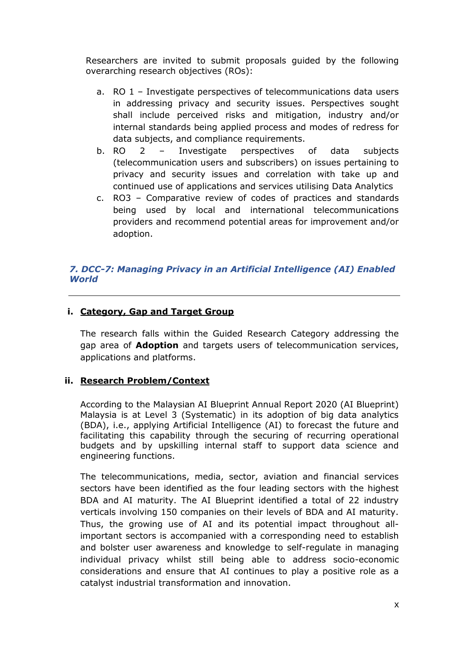Researchers are invited to submit proposals guided by the following overarching research objectives (ROs):

- a. RO 1 Investigate perspectives of telecommunications data users in addressing privacy and security issues. Perspectives sought shall include perceived risks and mitigation, industry and/or internal standards being applied process and modes of redress for data subjects, and compliance requirements.
- b. RO 2 Investigate perspectives of data subjects (telecommunication users and subscribers) on issues pertaining to privacy and security issues and correlation with take up and continued use of applications and services utilising Data Analytics
- c. RO3 Comparative review of codes of practices and standards being used by local and international telecommunications providers and recommend potential areas for improvement and/or adoption.

## *7. DCC-7: Managing Privacy in an Artificial Intelligence (AI) Enabled World*

#### **i. Category, Gap and Target Group**

The research falls within the Guided Research Category addressing the gap area of **Adoption** and targets users of telecommunication services, applications and platforms.

## **ii. Research Problem/Context**

According to the Malaysian AI Blueprint Annual Report 2020 (AI Blueprint) Malaysia is at Level 3 (Systematic) in its adoption of big data analytics (BDA), i.e., applying Artificial Intelligence (AI) to forecast the future and facilitating this capability through the securing of recurring operational budgets and by upskilling internal staff to support data science and engineering functions.

The telecommunications, media, sector, aviation and financial services sectors have been identified as the four leading sectors with the highest BDA and AI maturity. The AI Blueprint identified a total of 22 industry verticals involving 150 companies on their levels of BDA and AI maturity. Thus, the growing use of AI and its potential impact throughout allimportant sectors is accompanied with a corresponding need to establish and bolster user awareness and knowledge to self-regulate in managing individual privacy whilst still being able to address socio-economic considerations and ensure that AI continues to play a positive role as a catalyst industrial transformation and innovation.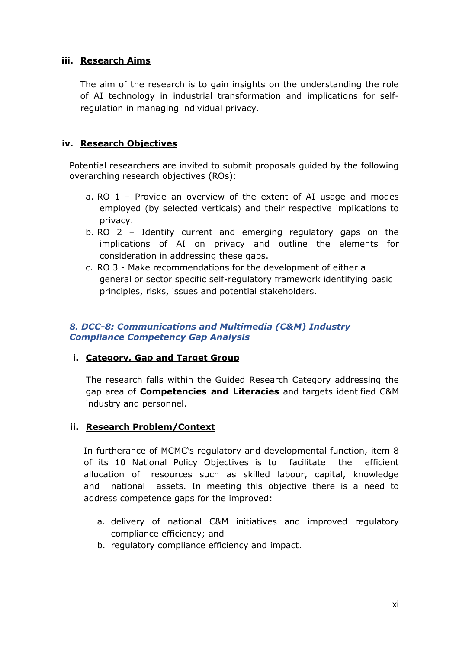#### **iii. Research Aims**

The aim of the research is to gain insights on the understanding the role of AI technology in industrial transformation and implications for selfregulation in managing individual privacy.

## **iv. Research Objectives**

Potential researchers are invited to submit proposals guided by the following overarching research objectives (ROs):

- a. RO 1 Provide an overview of the extent of AI usage and modes employed (by selected verticals) and their respective implications to privacy.
- b. RO 2 Identify current and emerging regulatory gaps on the implications of AI on privacy and outline the elements for consideration in addressing these gaps.
- c. RO 3 Make recommendations for the development of either a general or sector specific self-regulatory framework identifying basic principles, risks, issues and potential stakeholders.

## *8. DCC-8: Communications and Multimedia (C&M) Industry Compliance Competency Gap Analysis*

#### **i. Category, Gap and Target Group**

The research falls within the Guided Research Category addressing the gap area of **Competencies and Literacies** and targets identified C&M industry and personnel.

## **ii. Research Problem/Context**

In furtherance of MCMC's regulatory and developmental function, item 8 of its 10 National Policy Objectives is to facilitate the efficient allocation of resources such as skilled labour, capital, knowledge and national assets. In meeting this objective there is a need to address competence gaps for the improved:

- a. delivery of national C&M initiatives and improved regulatory compliance efficiency; and
- b. regulatory compliance efficiency and impact.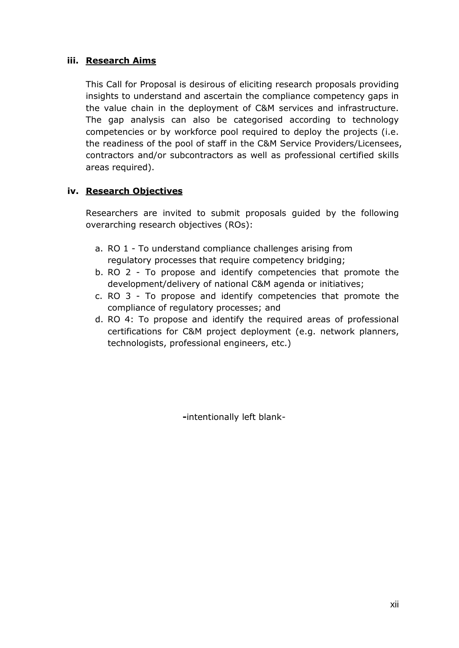## **iii. Research Aims**

This Call for Proposal is desirous of eliciting research proposals providing insights to understand and ascertain the compliance competency gaps in the value chain in the deployment of C&M services and infrastructure. The gap analysis can also be categorised according to technology competencies or by workforce pool required to deploy the projects (i.e. the readiness of the pool of staff in the C&M Service Providers/Licensees, contractors and/or subcontractors as well as professional certified skills areas required).

## **iv. Research Objectives**

Researchers are invited to submit proposals guided by the following overarching research objectives (ROs):

- a. RO 1 To understand compliance challenges arising from regulatory processes that require competency bridging;
- b. RO 2 To propose and identify competencies that promote the development/delivery of national C&M agenda or initiatives;
- c. RO 3 To propose and identify competencies that promote the compliance of regulatory processes; and
- d. RO 4: To propose and identify the required areas of professional certifications for C&M project deployment (e.g. network planners, technologists, professional engineers, etc.)

**-**intentionally left blank-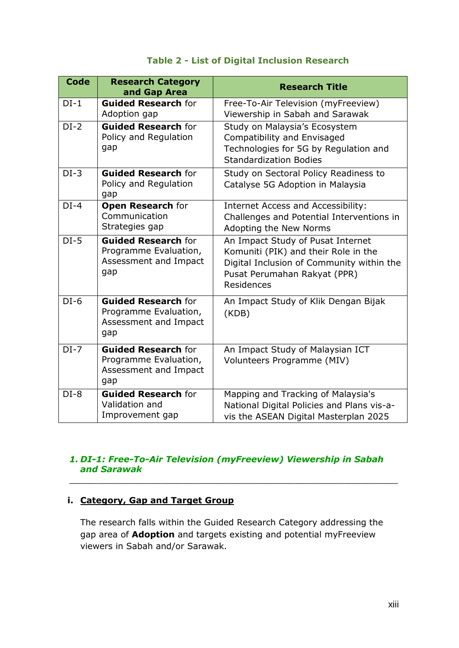## **Table 2 - List of Digital Inclusion Research**

| <b>Code</b> | <b>Research Category</b><br>and Gap Area                                            | <b>Research Title</b>                                                                                                                                                |
|-------------|-------------------------------------------------------------------------------------|----------------------------------------------------------------------------------------------------------------------------------------------------------------------|
| $DI-1$      | <b>Guided Research for</b><br>Adoption gap                                          | Free-To-Air Television (myFreeview)<br>Viewership in Sabah and Sarawak                                                                                               |
| $DI-2$      | <b>Guided Research for</b><br>Policy and Regulation<br>gap                          | Study on Malaysia's Ecosystem<br>Compatibility and Envisaged<br>Technologies for 5G by Regulation and<br><b>Standardization Bodies</b>                               |
| $DI-3$      | <b>Guided Research for</b><br>Policy and Regulation<br>gap                          | Study on Sectoral Policy Readiness to<br>Catalyse 5G Adoption in Malaysia                                                                                            |
| $DI-4$      | <b>Open Research for</b><br>Communication<br>Strategies gap                         | Internet Access and Accessibility:<br>Challenges and Potential Interventions in<br>Adopting the New Norms                                                            |
| $DI-5$      | <b>Guided Research for</b><br>Programme Evaluation,<br>Assessment and Impact<br>gap | An Impact Study of Pusat Internet<br>Komuniti (PIK) and their Role in the<br>Digital Inclusion of Community within the<br>Pusat Perumahan Rakyat (PPR)<br>Residences |
| $DI-6$      | <b>Guided Research for</b><br>Programme Evaluation,<br>Assessment and Impact<br>gap | An Impact Study of Klik Dengan Bijak<br>(KDB)                                                                                                                        |
| $DI-7$      | <b>Guided Research for</b><br>Programme Evaluation,<br>Assessment and Impact<br>gap | An Impact Study of Malaysian ICT<br>Volunteers Programme (MIV)                                                                                                       |
| $DI-8$      | <b>Guided Research for</b><br>Validation and<br>Improvement gap                     | Mapping and Tracking of Malaysia's<br>National Digital Policies and Plans vis-a-<br>vis the ASEAN Digital Masterplan 2025                                            |

## *1. DI-1: Free-To-Air Television (myFreeview) Viewership in Sabah and Sarawak*

 $\_$  , and the set of the set of the set of the set of the set of the set of the set of the set of the set of the set of the set of the set of the set of the set of the set of the set of the set of the set of the set of th

## **i. Category, Gap and Target Group**

The research falls within the Guided Research Category addressing the gap area of **Adoption** and targets existing and potential myFreeview viewers in Sabah and/or Sarawak.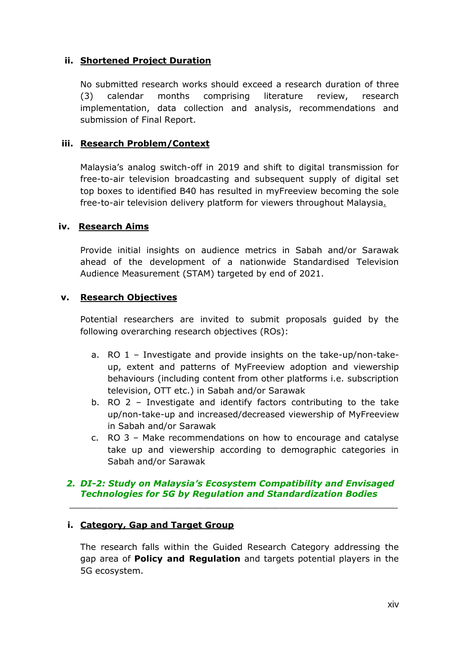## **ii. Shortened Project Duration**

No submitted research works should exceed a research duration of three (3) calendar months comprising literature review, research implementation, data collection and analysis, recommendations and submission of Final Report.

## **iii. Research Problem/Context**

Malaysia's analog switch-off in 2019 and shift to digital transmission for free-to-air television broadcasting and subsequent supply of digital set top boxes to identified B40 has resulted in myFreeview becoming the sole free-to-air television delivery platform for viewers throughout Malaysia.

#### **iv. Research Aims**

Provide initial insights on audience metrics in Sabah and/or Sarawak ahead of the development of a nationwide Standardised Television Audience Measurement (STAM) targeted by end of 2021.

#### **v. Research Objectives**

Potential researchers are invited to submit proposals guided by the following overarching research objectives (ROs):

- a. RO 1 Investigate and provide insights on the take-up/non-takeup, extent and patterns of MyFreeview adoption and viewership behaviours (including content from other platforms i.e. subscription television, OTT etc.) in Sabah and/or Sarawak
- b. RO 2 Investigate and identify factors contributing to the take up/non-take-up and increased/decreased viewership of MyFreeview in Sabah and/or Sarawak
- c. RO 3 Make recommendations on how to encourage and catalyse take up and viewership according to demographic categories in Sabah and/or Sarawak

#### *2. DI-2: Study on Malaysia's Ecosystem Compatibility and Envisaged Technologies for 5G by Regulation and Standardization Bodies*

 $\_$  , and the set of the set of the set of the set of the set of the set of the set of the set of the set of the set of the set of the set of the set of the set of the set of the set of the set of the set of the set of th

## **i. Category, Gap and Target Group**

The research falls within the Guided Research Category addressing the gap area of **Policy and Regulation** and targets potential players in the 5G ecosystem.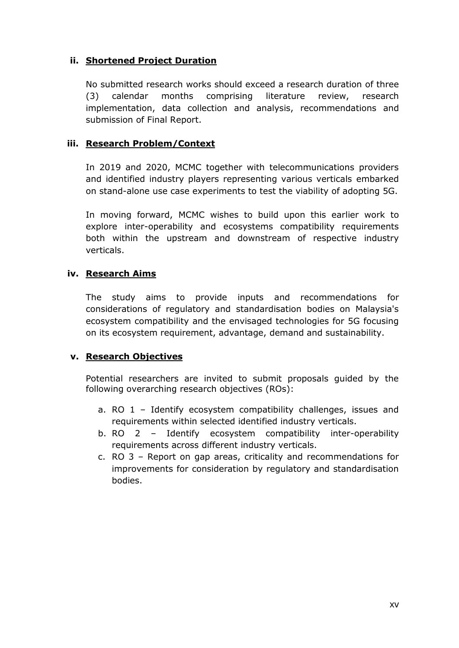## **ii. Shortened Project Duration**

No submitted research works should exceed a research duration of three (3) calendar months comprising literature review, research implementation, data collection and analysis, recommendations and submission of Final Report.

## **iii. Research Problem/Context**

In 2019 and 2020, MCMC together with telecommunications providers and identified industry players representing various verticals embarked on stand-alone use case experiments to test the viability of adopting 5G.

In moving forward, MCMC wishes to build upon this earlier work to explore inter-operability and ecosystems compatibility requirements both within the upstream and downstream of respective industry verticals.

#### **iv. Research Aims**

The study aims to provide inputs and recommendations for considerations of regulatory and standardisation bodies on Malaysia's ecosystem compatibility and the envisaged technologies for 5G focusing on its ecosystem requirement, advantage, demand and sustainability.

#### **v. Research Objectives**

Potential researchers are invited to submit proposals guided by the following overarching research objectives (ROs):

- a. RO 1 Identify ecosystem compatibility challenges, issues and requirements within selected identified industry verticals.
- b. RO 2 Identify ecosystem compatibility inter-operability requirements across different industry verticals.
- c. RO 3 Report on gap areas, criticality and recommendations for improvements for consideration by regulatory and standardisation bodies.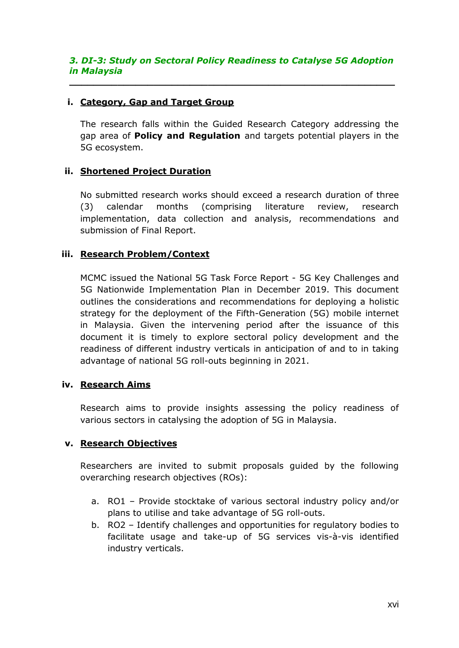#### *3. DI-3: Study on Sectoral Policy Readiness to Catalyse 5G Adoption in Malaysia*

**\_\_\_\_\_\_\_\_\_\_\_\_\_\_\_\_\_\_\_\_\_\_\_\_\_\_\_\_\_\_\_\_\_\_\_\_\_\_\_\_\_\_\_\_\_\_\_\_\_\_\_\_\_\_**

#### **i. Category, Gap and Target Group**

The research falls within the Guided Research Category addressing the gap area of **Policy and Regulation** and targets potential players in the 5G ecosystem.

## **ii. Shortened Project Duration**

No submitted research works should exceed a research duration of three (3) calendar months (comprising literature review, research implementation, data collection and analysis, recommendations and submission of Final Report.

## **iii. Research Problem/Context**

MCMC issued the National 5G Task Force Report - 5G Key Challenges and 5G Nationwide Implementation Plan in December 2019. This document outlines the considerations and recommendations for deploying a holistic strategy for the deployment of the Fifth-Generation (5G) mobile internet in Malaysia. Given the intervening period after the issuance of this document it is timely to explore sectoral policy development and the readiness of different industry verticals in anticipation of and to in taking advantage of national 5G roll-outs beginning in 2021.

#### **iv. Research Aims**

Research aims to provide insights assessing the policy readiness of various sectors in catalysing the adoption of 5G in Malaysia.

#### **v. Research Objectives**

Researchers are invited to submit proposals guided by the following overarching research objectives (ROs):

- a. RO1 Provide stocktake of various sectoral industry policy and/or plans to utilise and take advantage of 5G roll-outs.
- b. RO2 Identify challenges and opportunities for regulatory bodies to facilitate usage and take-up of 5G services vis-à-vis identified industry verticals.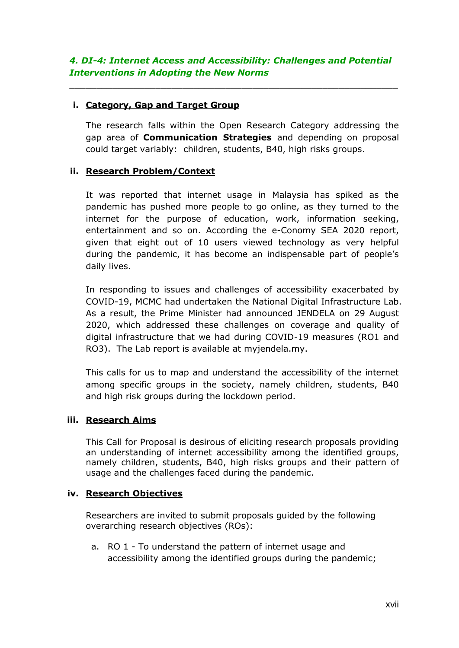$\_$  , and the set of the set of the set of the set of the set of the set of the set of the set of the set of the set of the set of the set of the set of the set of the set of the set of the set of the set of the set of th

## **i. Category, Gap and Target Group**

The research falls within the Open Research Category addressing the gap area of **Communication Strategies** and depending on proposal could target variably: children, students, B40, high risks groups.

## **ii. Research Problem/Context**

It was reported that internet usage in Malaysia has spiked as the pandemic has pushed more people to go online, as they turned to the internet for the purpose of education, work, information seeking, entertainment and so on. According the e-Conomy SEA 2020 report, given that eight out of 10 users viewed technology as very helpful during the pandemic, it has become an indispensable part of people's daily lives.

In responding to issues and challenges of accessibility exacerbated by COVID-19, MCMC had undertaken the National Digital Infrastructure Lab. As a result, the Prime Minister had announced JENDELA on 29 August 2020, which addressed these challenges on coverage and quality of digital infrastructure that we had during COVID-19 measures (RO1 and RO3). The Lab report is available at myjendela.my.

This calls for us to map and understand the accessibility of the internet among specific groups in the society, namely children, students, B40 and high risk groups during the lockdown period.

#### **iii. Research Aims**

This Call for Proposal is desirous of eliciting research proposals providing an understanding of internet accessibility among the identified groups, namely children, students, B40, high risks groups and their pattern of usage and the challenges faced during the pandemic.

#### **iv. Research Objectives**

Researchers are invited to submit proposals guided by the following overarching research objectives (ROs):

a. RO 1 - To understand the pattern of internet usage and accessibility among the identified groups during the pandemic;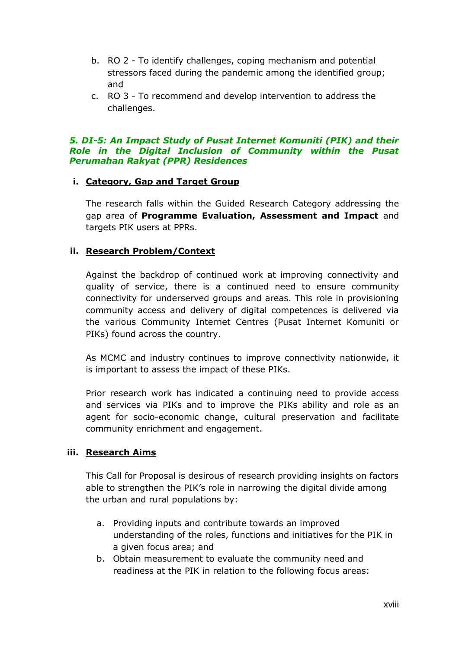- b. RO 2 To identify challenges, coping mechanism and potential stressors faced during the pandemic among the identified group; and
- c. RO 3 To recommend and develop intervention to address the challenges.

#### *5. DI-5: An Impact Study of Pusat Internet Komuniti (PIK) and their Role in the Digital Inclusion of Community within the Pusat Perumahan Rakyat (PPR) Residences*

## **i. Category, Gap and Target Group**

The research falls within the Guided Research Category addressing the gap area of **Programme Evaluation, Assessment and Impact** and targets PIK users at PPRs.

## **ii. Research Problem/Context**

Against the backdrop of continued work at improving connectivity and quality of service, there is a continued need to ensure community connectivity for underserved groups and areas. This role in provisioning community access and delivery of digital competences is delivered via the various Community Internet Centres (Pusat Internet Komuniti or PIKs) found across the country.

As MCMC and industry continues to improve connectivity nationwide, it is important to assess the impact of these PIKs.

Prior research work has indicated a continuing need to provide access and services via PIKs and to improve the PIKs ability and role as an agent for socio-economic change, cultural preservation and facilitate community enrichment and engagement.

## **iii. Research Aims**

This Call for Proposal is desirous of research providing insights on factors able to strengthen the PIK's role in narrowing the digital divide among the urban and rural populations by:

- a. Providing inputs and contribute towards an improved understanding of the roles, functions and initiatives for the PIK in a given focus area; and
- b. Obtain measurement to evaluate the community need and readiness at the PIK in relation to the following focus areas: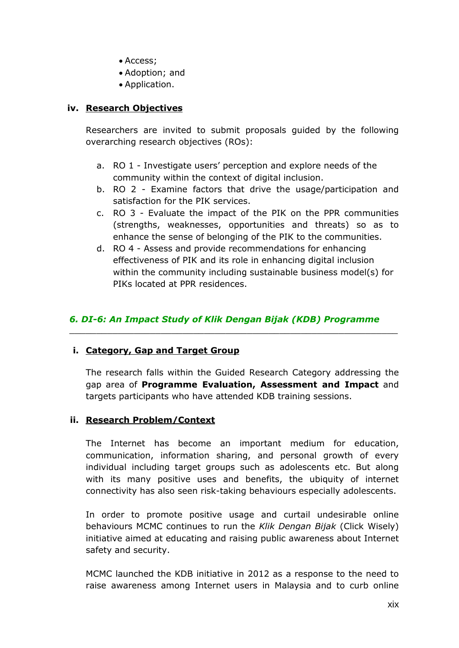- Access;
- Adoption; and
- Application.

#### **iv. Research Objectives**

Researchers are invited to submit proposals guided by the following overarching research objectives (ROs):

- a. RO 1 Investigate users' perception and explore needs of the community within the context of digital inclusion.
- b. RO 2 Examine factors that drive the usage/participation and satisfaction for the PIK services.
- c. RO 3 Evaluate the impact of the PIK on the PPR communities (strengths, weaknesses, opportunities and threats) so as to enhance the sense of belonging of the PIK to the communities.
- d. RO 4 Assess and provide recommendations for enhancing effectiveness of PIK and its role in enhancing digital inclusion within the community including sustainable business model(s) for PIKs located at PPR residences.

#### *6. DI-6: An Impact Study of Klik Dengan Bijak (KDB) Programme*

 $\_$  , and the set of the set of the set of the set of the set of the set of the set of the set of the set of the set of the set of the set of the set of the set of the set of the set of the set of the set of the set of th

#### **i. Category, Gap and Target Group**

The research falls within the Guided Research Category addressing the gap area of **Programme Evaluation, Assessment and Impact** and targets participants who have attended KDB training sessions.

#### **ii. Research Problem/Context**

The Internet has become an important medium for education, communication, information sharing, and personal growth of every individual including target groups such as adolescents etc. But along with its many positive uses and benefits, the ubiquity of internet connectivity has also seen risk-taking behaviours especially adolescents.

In order to promote positive usage and curtail undesirable online behaviours MCMC continues to run the *Klik Dengan Bijak* (Click Wisely) initiative aimed at educating and raising public awareness about Internet safety and security.

MCMC launched the KDB initiative in 2012 as a response to the need to raise awareness among Internet users in Malaysia and to curb online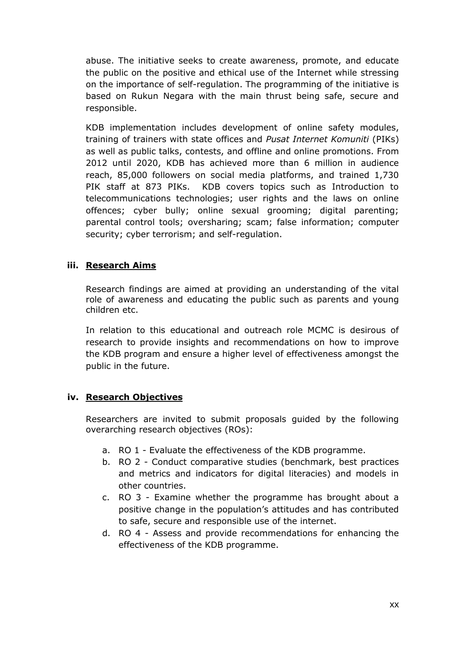abuse. The initiative seeks to create awareness, promote, and educate the public on the positive and ethical use of the Internet while stressing on the importance of self-regulation. The programming of the initiative is based on Rukun Negara with the main thrust being safe, secure and responsible.

KDB implementation includes development of online safety modules, training of trainers with state offices and *Pusat Internet Komuniti* (PIKs) as well as public talks, contests, and offline and online promotions. From 2012 until 2020, KDB has achieved more than 6 million in audience reach, 85,000 followers on social media platforms, and trained 1,730 PIK staff at 873 PIKs. KDB covers topics such as Introduction to telecommunications technologies; user rights and the laws on online offences; cyber bully; online sexual grooming; digital parenting; parental control tools; oversharing; scam; false information; computer security; cyber terrorism; and self-regulation.

#### **iii. Research Aims**

Research findings are aimed at providing an understanding of the vital role of awareness and educating the public such as parents and young children etc.

In relation to this educational and outreach role MCMC is desirous of research to provide insights and recommendations on how to improve the KDB program and ensure a higher level of effectiveness amongst the public in the future.

## **iv. Research Objectives**

Researchers are invited to submit proposals guided by the following overarching research objectives (ROs):

- a. RO 1 Evaluate the effectiveness of the KDB programme.
- b. RO 2 Conduct comparative studies (benchmark, best practices and metrics and indicators for digital literacies) and models in other countries.
- c. RO 3 Examine whether the programme has brought about a positive change in the population's attitudes and has contributed to safe, secure and responsible use of the internet.
- d. RO 4 Assess and provide recommendations for enhancing the effectiveness of the KDB programme.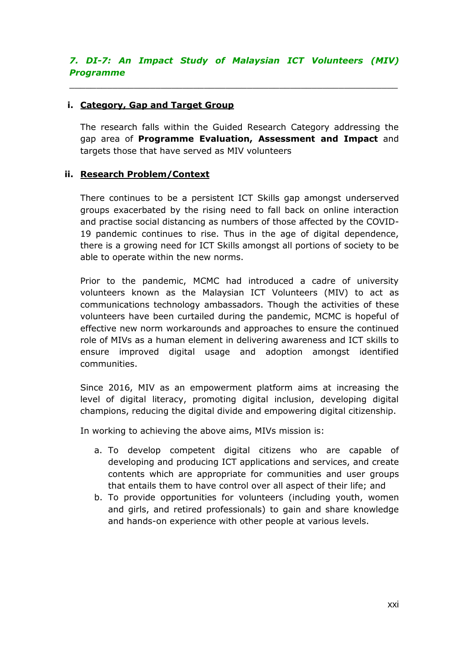# *7. DI-7: An Impact Study of Malaysian ICT Volunteers (MIV) Programme*

 $\_$  ,  $\_$  ,  $\_$  ,  $\_$  ,  $\_$  ,  $\_$  ,  $\_$  ,  $\_$  ,  $\_$  ,  $\_$  ,  $\_$  ,  $\_$  ,  $\_$  ,  $\_$  ,  $\_$  ,  $\_$  ,  $\_$  ,  $\_$  ,  $\_$ 

#### **i. Category, Gap and Target Group**

The research falls within the Guided Research Category addressing the gap area of **Programme Evaluation, Assessment and Impact** and targets those that have served as MIV volunteers

## **ii. Research Problem/Context**

There continues to be a persistent ICT Skills gap amongst underserved groups exacerbated by the rising need to fall back on online interaction and practise social distancing as numbers of those affected by the COVID-19 pandemic continues to rise. Thus in the age of digital dependence, there is a growing need for ICT Skills amongst all portions of society to be able to operate within the new norms.

Prior to the pandemic, MCMC had introduced a cadre of university volunteers known as the Malaysian ICT Volunteers (MIV) to act as communications technology ambassadors. Though the activities of these volunteers have been curtailed during the pandemic, MCMC is hopeful of effective new norm workarounds and approaches to ensure the continued role of MIVs as a human element in delivering awareness and ICT skills to ensure improved digital usage and adoption amongst identified communities.

Since 2016, MIV as an empowerment platform aims at increasing the level of digital literacy, promoting digital inclusion, developing digital champions, reducing the digital divide and empowering digital citizenship.

In working to achieving the above aims, MIVs mission is:

- a. To develop competent digital citizens who are capable of developing and producing ICT applications and services, and create contents which are appropriate for communities and user groups that entails them to have control over all aspect of their life; and
- b. To provide opportunities for volunteers (including youth, women and girls, and retired professionals) to gain and share knowledge and hands-on experience with other people at various levels.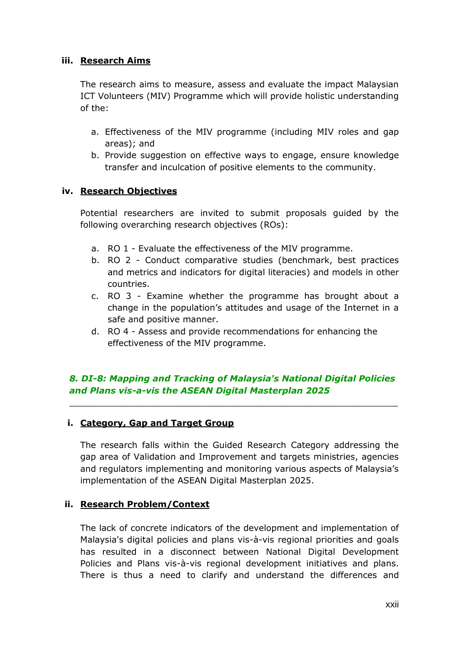## **iii. Research Aims**

The research aims to measure, assess and evaluate the impact Malaysian ICT Volunteers (MIV) Programme which will provide holistic understanding of the:

- a. Effectiveness of the MIV programme (including MIV roles and gap areas); and
- b. Provide suggestion on effective ways to engage, ensure knowledge transfer and inculcation of positive elements to the community.

## **iv. Research Objectives**

Potential researchers are invited to submit proposals guided by the following overarching research objectives (ROs):

- a. RO 1 Evaluate the effectiveness of the MIV programme.
- b. RO 2 Conduct comparative studies (benchmark, best practices and metrics and indicators for digital literacies) and models in other countries.
- c. RO 3 Examine whether the programme has brought about a change in the population's attitudes and usage of the Internet in a safe and positive manner.
- d. RO 4 Assess and provide recommendations for enhancing the effectiveness of the MIV programme.

# *8. DI-8: Mapping and Tracking of Malaysia's National Digital Policies and Plans vis-a-vis the ASEAN Digital Masterplan 2025*

 $\_$  , and the set of the set of the set of the set of the set of the set of the set of the set of the set of the set of the set of the set of the set of the set of the set of the set of the set of the set of the set of th

## **i. Category, Gap and Target Group**

The research falls within the Guided Research Category addressing the gap area of Validation and Improvement and targets ministries, agencies and regulators implementing and monitoring various aspects of Malaysia's implementation of the ASEAN Digital Masterplan 2025.

#### **ii. Research Problem/Context**

The lack of concrete indicators of the development and implementation of Malaysia's digital policies and plans vis-à-vis regional priorities and goals has resulted in a disconnect between National Digital Development Policies and Plans vis-à-vis regional development initiatives and plans. There is thus a need to clarify and understand the differences and